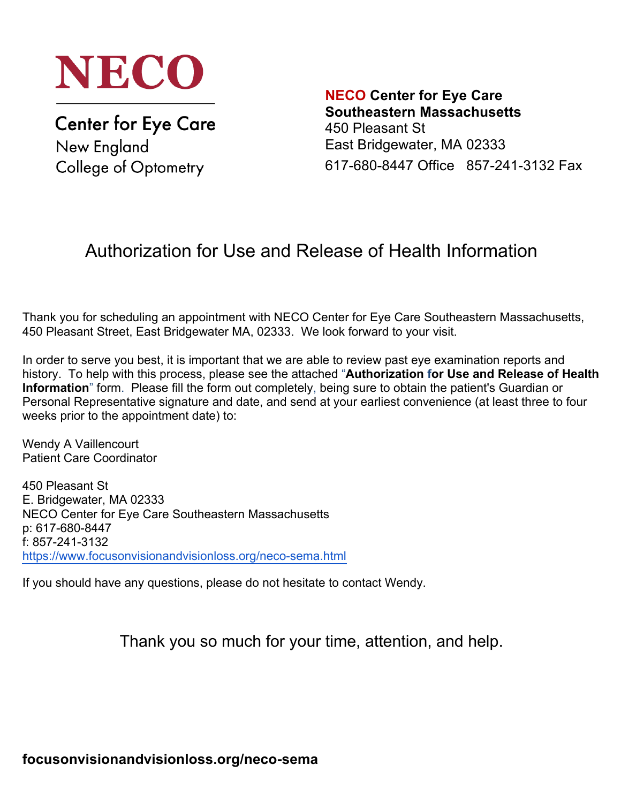

**Center for Eye Care** New England College of Optometry

**NECO Center for Eye Care Southeastern Massachusetts** 450 Pleasant St East Bridgewater, MA 02333 617-680-8447 Office 857-241-3132 Fax

# Authorization for Use and Release of Health Information

Thank you for scheduling an appointment with NECO Center for Eye Care Southeastern Massachusetts, 450 Pleasant Street, East Bridgewater MA, 02333. We look forward to your visit.

In order to serve you best, it is important that we are able to review past eye examination reports and history. To help with this process, please see the attached "**Authorization for Use and Release of Health Information**" form. Please fill the form out completely, being sure to obtain the patient's Guardian or Personal Representative signature and date, and send at your earliest convenience (at least three to four weeks prior to the appointment date) to:

Wendy A Vaillencourt Patient Care Coordinator

450 Pleasant St E. Bridgewater, MA 02333 NECO Center for Eye Care Southeastern Massachusetts p: 617-680-8447 f: 857-241-3132 https://www.focusonvisionandvisionloss.org/neco-sema.html

If you should have any questions, please do not hesitate to contact Wendy.

Thank you so much for your time, attention, and help.